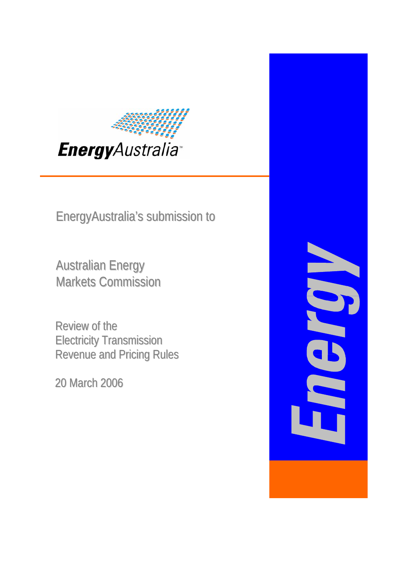

EnergyAustralia's submission to

Markets Commission Australian Energy

Review of the Electricity Transmission Revenue and Pricing Rules

20 March 2006

J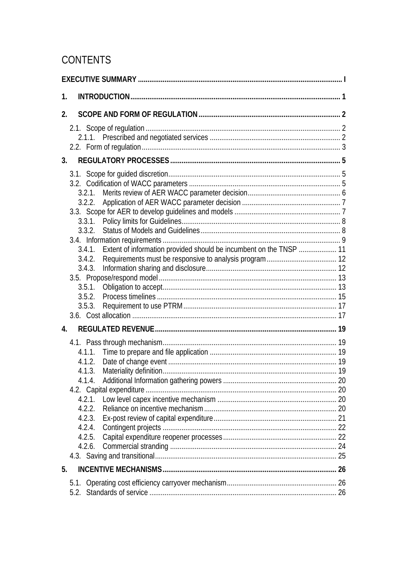# CONTENTS

| 1.                                                                                            |  |
|-----------------------------------------------------------------------------------------------|--|
| 2.                                                                                            |  |
|                                                                                               |  |
| 3 <sub>1</sub>                                                                                |  |
| 3.4.1. Extent of information provided should be incumbent on the TNSP  11<br>3.4.3.<br>3.5.3. |  |
| $\overline{4}$ .                                                                              |  |
| 4.1.3.<br>414<br>4.2.1.<br>4.2.2.<br>4.2.3.<br>4.2.4.<br>4.2.5.<br>4.2.6.                     |  |
| 5.                                                                                            |  |
| 5.1.                                                                                          |  |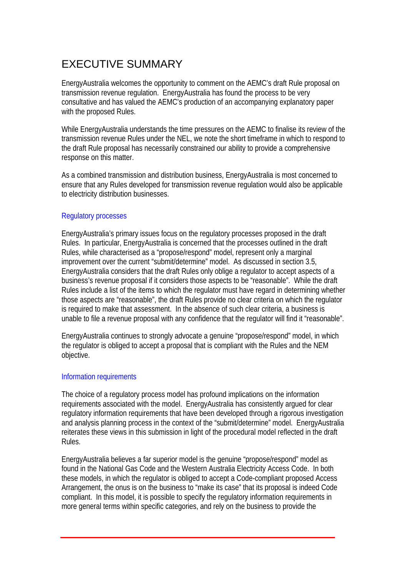# <span id="page-2-0"></span>EXECUTIVE SUMMARY

EnergyAustralia welcomes the opportunity to comment on the AEMC's draft Rule proposal on transmission revenue regulation. EnergyAustralia has found the process to be very consultative and has valued the AEMC's production of an accompanying explanatory paper with the proposed Rules.

While EnergyAustralia understands the time pressures on the AEMC to finalise its review of the transmission revenue Rules under the NEL, we note the short timeframe in which to respond to the draft Rule proposal has necessarily constrained our ability to provide a comprehensive response on this matter.

As a combined transmission and distribution business, EnergyAustralia is most concerned to ensure that any Rules developed for transmission revenue regulation would also be applicable to electricity distribution businesses.

#### Regulatory processes

EnergyAustralia's primary issues focus on the regulatory processes proposed in the draft Rules. In particular, EnergyAustralia is concerned that the processes outlined in the draft Rules, while characterised as a "propose/respond" model, represent only a marginal improvement over the current "submit/determine" model. As discussed in section [3.5,](#page-18-1) EnergyAustralia considers that the draft Rules only oblige a regulator to accept aspects of a business's revenue proposal if it considers those aspects to be "reasonable". While the draft Rules include a list of the items to which the regulator must have regard in determining whether those aspects are "reasonable", the draft Rules provide no clear criteria on which the regulator is required to make that assessment. In the absence of such clear criteria, a business is unable to file a revenue proposal with any confidence that the regulator will find it "reasonable".

EnergyAustralia continues to strongly advocate a genuine "propose/respond" model, in which the regulator is obliged to accept a proposal that is compliant with the Rules and the NEM objective.

#### Information requirements

The choice of a regulatory process model has profound implications on the information requirements associated with the model. EnergyAustralia has consistently argued for clear regulatory information requirements that have been developed through a rigorous investigation and analysis planning process in the context of the "submit/determine" model. EnergyAustralia reiterates these views in this submission in light of the procedural model reflected in the draft Rules.

EnergyAustralia believes a far superior model is the genuine "propose/respond" model as found in the National Gas Code and the Western Australia Electricity Access Code. In both these models, in which the regulator is obliged to accept a Code-compliant proposed Access Arrangement, the onus is on the business to "make its case" that its proposal is indeed Code compliant. In this model, it is possible to specify the regulatory information requirements in more general terms within specific categories, and rely on the business to provide the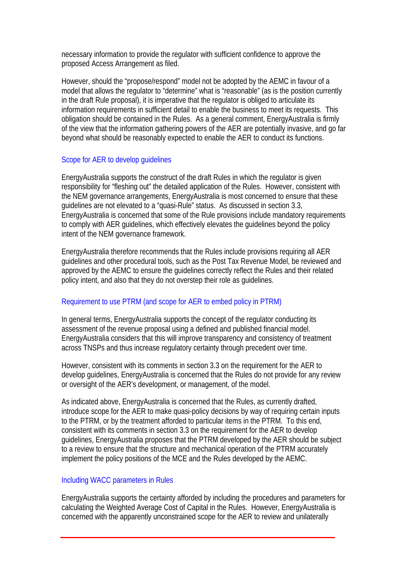necessary information to provide the regulator with sufficient confidence to approve the proposed Access Arrangement as filed.

However, should the "propose/respond" model not be adopted by the AEMC in favour of a model that allows the regulator to "determine" what is "reasonable" (as is the position currently in the draft Rule proposal), it is imperative that the regulator is obliged to articulate its information requirements in sufficient detail to enable the business to meet its requests. This obligation should be contained in the Rules. As a general comment, EnergyAustralia is firmly of the view that the information gathering powers of the AER are potentially invasive, and go far beyond what should be reasonably expected to enable the AER to conduct its functions.

#### Scope for AER to develop guidelines

EnergyAustralia supports the construct of the draft Rules in which the regulator is given responsibility for "fleshing out" the detailed application of the Rules. However, consistent with the NEM governance arrangements, EnergyAustralia is most concerned to ensure that these guidelines are not elevated to a "quasi-Rule" status. As discussed in section [3.3,](#page-12-1) EnergyAustralia is concerned that some of the Rule provisions include mandatory requirements to comply with AER guidelines, which effectively elevates the guidelines beyond the policy intent of the NEM governance framework.

EnergyAustralia therefore recommends that the Rules include provisions requiring all AER guidelines and other procedural tools, such as the Post Tax Revenue Model, be reviewed and approved by the AEMC to ensure the guidelines correctly reflect the Rules and their related policy intent, and also that they do not overstep their role as guidelines.

#### Requirement to use PTRM (and scope for AER to embed policy in PTRM)

In general terms, EnergyAustralia supports the concept of the regulator conducting its assessment of the revenue proposal using a defined and published financial model. EnergyAustralia considers that this will improve transparency and consistency of treatment across TNSPs and thus increase regulatory certainty through precedent over time.

However, consistent with its comments in section 3.3 on the requirement for the AER to develop guidelines, EnergyAustralia is concerned that the Rules do not provide for any review or oversight of the AER's development, or management, of the model.

As indicated above, EnergyAustralia is concerned that the Rules, as currently drafted, introduce scope for the AER to make quasi-policy decisions by way of requiring certain inputs to the PTRM, or by the treatment afforded to particular items in the PTRM. To this end, consistent with its comments in section 3.3 on the requirement for the AER to develop guidelines, EnergyAustralia proposes that the PTRM developed by the AER should be subject to a review to ensure that the structure and mechanical operation of the PTRM accurately implement the policy positions of the MCE and the Rules developed by the AEMC.

#### Including WACC parameters in Rules

EnergyAustralia supports the certainty afforded by including the procedures and parameters for calculating the Weighted Average Cost of Capital in the Rules. However, EnergyAustralia is concerned with the apparently unconstrained scope for the AER to review and unilaterally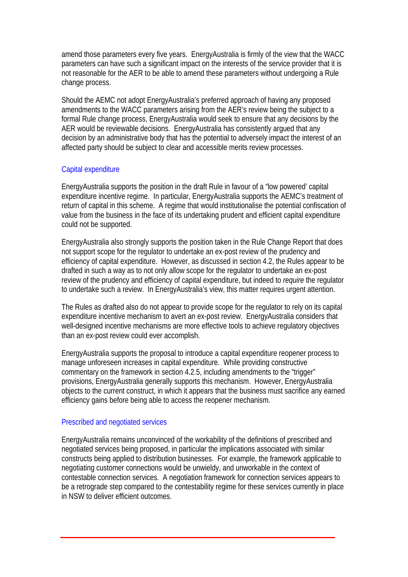amend those parameters every five years. EnergyAustralia is firmly of the view that the WACC parameters can have such a significant impact on the interests of the service provider that it is not reasonable for the AER to be able to amend these parameters without undergoing a Rule change process.

Should the AEMC not adopt EnergyAustralia's preferred approach of having any proposed amendments to the WACC parameters arising from the AER's review being the subject to a formal Rule change process, EnergyAustralia would seek to ensure that any decisions by the AER would be reviewable decisions. EnergyAustralia has consistently argued that any decision by an administrative body that has the potential to adversely impact the interest of an affected party should be subject to clear and accessible merits review processes.

#### Capital expenditure

EnergyAustralia supports the position in the draft Rule in favour of a "low powered' capital expenditure incentive regime. In particular, EnergyAustralia supports the AEMC's treatment of return of capital in this scheme. A regime that would institutionalise the potential confiscation of value from the business in the face of its undertaking prudent and efficient capital expenditure could not be supported.

EnergyAustralia also strongly supports the position taken in the Rule Change Report that does not support scope for the regulator to undertake an ex-post review of the prudency and efficiency of capital expenditure. However, as discussed in section [4.2](#page-25-1), the Rules appear to be drafted in such a way as to not only allow scope for the regulator to undertake an ex-post review of the prudency and efficiency of capital expenditure, but indeed to *require* the regulator to undertake such a review. In EnergyAustralia's view, this matter requires urgent attention.

The Rules as drafted also do not appear to provide scope for the regulator to rely on its capital expenditure incentive mechanism to avert an ex-post review. EnergyAustralia considers that well-designed incentive mechanisms are more effective tools to achieve regulatory objectives than an ex-post review could ever accomplish.

EnergyAustralia supports the proposal to introduce a capital expenditure reopener process to manage unforeseen increases in capital expenditure. While providing constructive commentary on the framework in section [4.2.5,](#page-27-1) including amendments to the "trigger" provisions, EnergyAustralia generally supports this mechanism. However, EnergyAustralia objects to the current construct, in which it appears that the business must sacrifice any earned efficiency gains before being able to access the reopener mechanism.

#### Prescribed and negotiated services

EnergyAustralia remains unconvinced of the workability of the definitions of prescribed and negotiated services being proposed, in particular the implications associated with similar constructs being applied to distribution businesses. For example, the framework applicable to negotiating customer connections would be unwieldy, and unworkable in the context of contestable connection services. A negotiation framework for connection services appears to be a retrograde step compared to the contestability regime for these services currently in place in NSW to deliver efficient outcomes.

 $R_{\rm eff}$  the Electricity Transmission Rules in  $R_{\rm eff}$  and  $R_{\rm eff}$  revenue and  $R_{\rm eff}$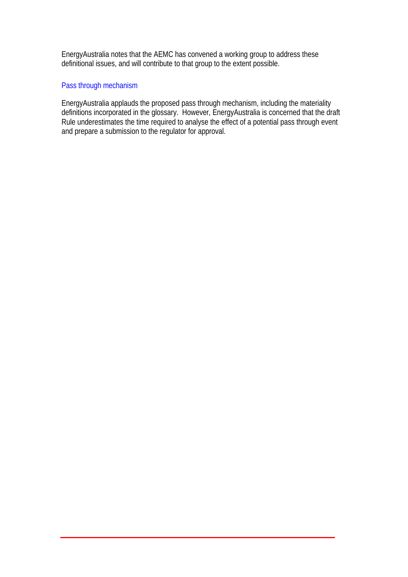EnergyAustralia notes that the AEMC has convened a working group to address these definitional issues, and will contribute to that group to the extent possible.

#### Pass through mechanism

EnergyAustralia applauds the proposed pass through mechanism, including the materiality definitions incorporated in the glossary. However, EnergyAustralia is concerned that the draft Rule underestimates the time required to analyse the effect of a potential pass through event and prepare a submission to the regulator for approval.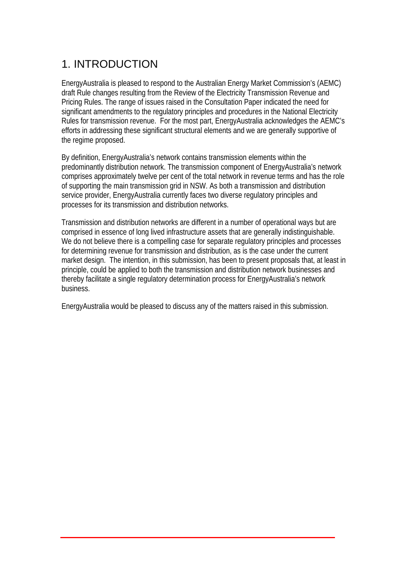# <span id="page-6-0"></span>1. INTRODUCTION

EnergyAustralia is pleased to respond to the Australian Energy Market Commission's (AEMC) draft Rule changes resulting from the Review of the Electricity Transmission Revenue and Pricing Rules. The range of issues raised in the Consultation Paper indicated the need for significant amendments to the regulatory principles and procedures in the National Electricity Rules for transmission revenue. For the most part, EnergyAustralia acknowledges the AEMC's efforts in addressing these significant structural elements and we are generally supportive of the regime proposed.

By definition, EnergyAustralia's network contains transmission elements within the predominantly distribution network. The transmission component of EnergyAustralia's network comprises approximately twelve per cent of the total network in revenue terms and has the role of supporting the main transmission grid in NSW. As both a transmission and distribution service provider, EnergyAustralia currently faces two diverse regulatory principles and processes for its transmission and distribution networks.

Transmission and distribution networks are different in a number of operational ways but are comprised in essence of long lived infrastructure assets that are generally indistinguishable. We do not believe there is a compelling case for separate regulatory principles and processes for determining revenue for transmission and distribution, as is the case under the current market design. The intention, in this submission, has been to present proposals that, at least in principle, could be applied to both the transmission and distribution network businesses and thereby facilitate a single regulatory determination process for EnergyAustralia's network business.

EnergyAustralia would be pleased to discuss any of the matters raised in this submission.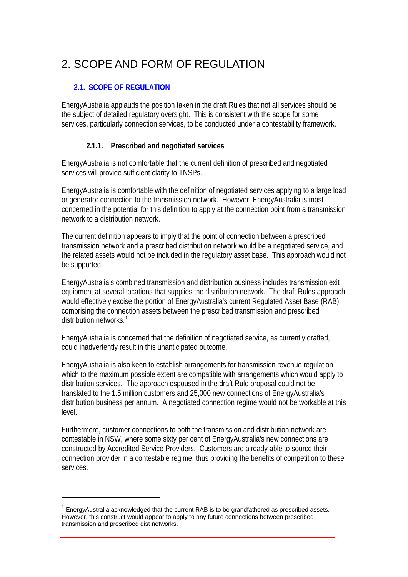# <span id="page-7-0"></span>2. SCOPE AND FORM OF REGULATION

## **2.1. SCOPE OF REGULATION**

EnergyAustralia applauds the position taken in the draft Rules that not all services should be the subject of detailed regulatory oversight. This is consistent with the scope for some services, particularly connection services, to be conducted under a contestability framework.

## **2.1.1. Prescribed and negotiated services**

EnergyAustralia is not comfortable that the current definition of prescribed and negotiated services will provide sufficient clarity to TNSPs.

EnergyAustralia is comfortable with the definition of negotiated services applying to a large load or generator connection to the transmission network. However, EnergyAustralia is most concerned in the potential for this definition to apply at the connection point from a transmission network to a distribution network.

The current definition appears to imply that the point of connection between a prescribed transmission network and a prescribed distribution network would be a negotiated service, and the related assets would not be included in the regulatory asset base. This approach would not be supported.

EnergyAustralia's combined transmission and distribution business includes transmission exit equipment at several locations that supplies the distribution network. The draft Rules approach would effectively excise the portion of EnergyAustralia's current Regulated Asset Base (RAB), comprising the connection assets between the prescribed transmission and prescribed distribution networks.<sup>[1](#page-7-1)</sup>

EnergyAustralia is concerned that the definition of negotiated service, as currently drafted, could inadvertently result in this unanticipated outcome.

EnergyAustralia is also keen to establish arrangements for transmission revenue regulation which to the maximum possible extent are compatible with arrangements which would apply to distribution services. The approach espoused in the draft Rule proposal could not be translated to the 1.5 million customers and 25,000 new connections of EnergyAustralia's distribution business per annum. A negotiated connection regime would not be workable at this level.

Furthermore, customer connections to both the transmission and distribution network are contestable in NSW, where some sixty per cent of EnergyAustralia's new connections are constructed by Accredited Service Providers. Customers are already able to source their connection provider in a contestable regime, thus providing the benefits of competition to these services.

Review of the Electricity Transmission Revenue and Pricing Rules 2

l

<span id="page-7-1"></span> $1$  EnergyAustralia acknowledged that the current RAB is to be grandfathered as prescribed assets. However, this construct would appear to apply to any future connections between prescribed transmission and prescribed dist networks.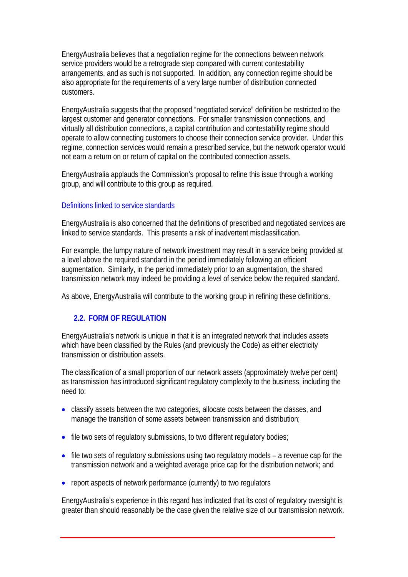<span id="page-8-0"></span>EnergyAustralia believes that a negotiation regime for the connections between network service providers would be a retrograde step compared with current contestability arrangements, and as such is not supported. In addition, any connection regime should be also appropriate for the requirements of a very large number of distribution connected customers.

EnergyAustralia suggests that the proposed "negotiated service" definition be restricted to the largest customer and generator connections. For smaller transmission connections, and virtually all distribution connections, a capital contribution and contestability regime should operate to allow connecting customers to choose their connection service provider. Under this regime, connection services would remain a prescribed service, but the network operator would not earn a return on or return of capital on the contributed connection assets.

EnergyAustralia applauds the Commission's proposal to refine this issue through a working group, and will contribute to this group as required.

#### Definitions linked to service standards

EnergyAustralia is also concerned that the definitions of prescribed and negotiated services are linked to service standards. This presents a risk of inadvertent misclassification.

For example, the lumpy nature of network investment may result in a service being provided at a level above the required standard in the period immediately following an efficient augmentation. Similarly, in the period immediately prior to an augmentation, the shared transmission network may indeed be providing a level of service below the required standard.

As above, EnergyAustralia will contribute to the working group in refining these definitions.

#### **2.2. FORM OF REGULATION**

EnergyAustralia's network is unique in that it is an integrated network that includes assets which have been classified by the Rules (and previously the Code) as either electricity transmission or distribution assets.

The classification of a small proportion of our network assets (approximately twelve per cent) as transmission has introduced significant regulatory complexity to the business, including the need to:

- classify assets between the two categories, allocate costs between the classes, and manage the transition of some assets between transmission and distribution;
- file two sets of regulatory submissions, to two different regulatory bodies;
- file two sets of regulatory submissions using two regulatory models a revenue cap for the transmission network and a weighted average price cap for the distribution network; and
- report aspects of network performance (currently) to two regulators

EnergyAustralia's experience in this regard has indicated that its cost of regulatory oversight is greater than should reasonably be the case given the relative size of our transmission network.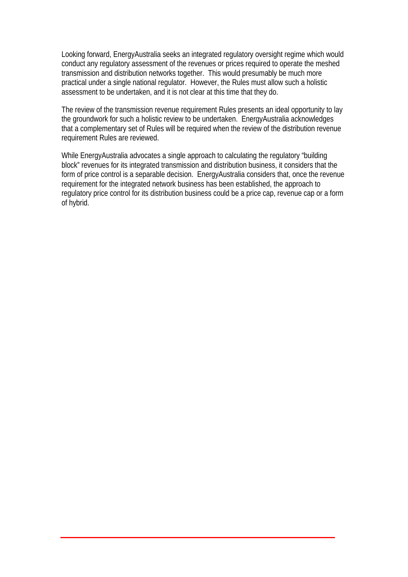Looking forward, EnergyAustralia seeks an integrated regulatory oversight regime which would conduct any regulatory assessment of the revenues or prices required to operate the meshed transmission and distribution networks together. This would presumably be much more practical under a single national regulator. However, the Rules must allow such a holistic assessment to be undertaken, and it is not clear at this time that they do.

The review of the transmission revenue requirement Rules presents an ideal opportunity to lay the groundwork for such a holistic review to be undertaken. EnergyAustralia acknowledges that a complementary set of Rules will be required when the review of the distribution revenue requirement Rules are reviewed.

While EnergyAustralia advocates a single approach to calculating the regulatory "building block" revenues for its integrated transmission and distribution business, it considers that the form of price control is a separable decision. EnergyAustralia considers that, once the revenue requirement for the integrated network business has been established, the approach to regulatory price control for its distribution business could be a price cap, revenue cap or a form of hybrid.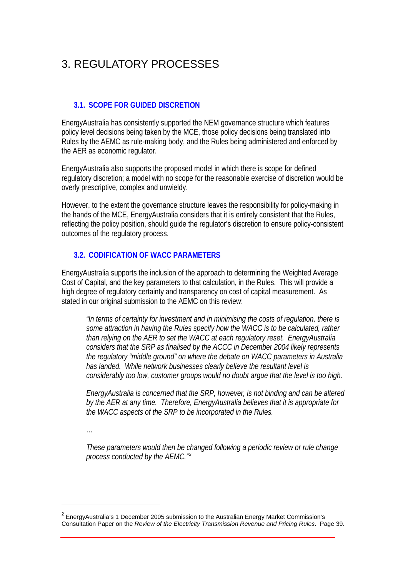# <span id="page-10-0"></span>3. REGULATORY PROCESSES

#### **3.1. SCOPE FOR GUIDED DISCRETION**

EnergyAustralia has consistently supported the NEM governance structure which features policy level decisions being taken by the MCE, those policy decisions being translated into Rules by the AEMC as rule-making body, and the Rules being administered and enforced by the AER as economic regulator.

EnergyAustralia also supports the proposed model in which there is scope for defined regulatory discretion; a model with no scope for the reasonable exercise of discretion would be overly prescriptive, complex and unwieldy.

However, to the extent the governance structure leaves the responsibility for policy-making in the hands of the MCE, EnergyAustralia considers that it is entirely consistent that the Rules, reflecting the policy position, should guide the regulator's discretion to ensure policy-consistent outcomes of the regulatory process.

#### **3.2. CODIFICATION OF WACC PARAMETERS**

EnergyAustralia supports the inclusion of the approach to determining the Weighted Average Cost of Capital, and the key parameters to that calculation, in the Rules. This will provide a high degree of regulatory certainty and transparency on cost of capital measurement. As stated in our original submission to the AEMC on this review:

*"In terms of certainty for investment and in minimising the costs of regulation, there is some attraction in having the Rules specify how the WACC is to be calculated, rather than relying on the AER to set the WACC at each regulatory reset. EnergyAustralia considers that the SRP as finalised by the ACCC in December 2004 likely represents the regulatory "middle ground" on where the debate on WACC parameters in Australia has landed. While network businesses clearly believe the resultant level is considerably too low, customer groups would no doubt argue that the level is too high.* 

*EnergyAustralia is concerned that the SRP, however, is not binding and can be altered by the AER at any time. Therefore, EnergyAustralia believes that it is appropriate for the WACC aspects of the SRP to be incorporated in the Rules.* 

*…* 

 $\overline{a}$ 

*These parameters would then be changed following a periodic review or rule change process conducted by the AEMC."[2](#page-10-1)*

<span id="page-10-1"></span> $2$  EnergyAustralia's 1 December 2005 submission to the Australian Energy Market Commission's Consultation Paper on the *Review of the Electricity Transmission Revenue and Pricing Rules*. Page 39.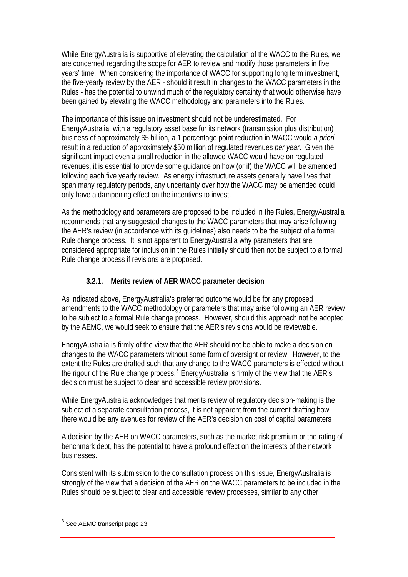<span id="page-11-0"></span>While EnergyAustralia is supportive of elevating the calculation of the WACC to the Rules, we are concerned regarding the scope for AER to review and modify those parameters in five years' time. When considering the importance of WACC for supporting long term investment, the five-yearly review by the AER - should it result in changes to the WACC parameters in the Rules - has the potential to unwind much of the regulatory certainty that would otherwise have been gained by elevating the WACC methodology and parameters into the Rules.

The importance of this issue on investment should not be underestimated. For EnergyAustralia, with a regulatory asset base for its network (transmission plus distribution) business of approximately \$5 billion, a 1 percentage point reduction in WACC would *a priori* result in a reduction of approximately \$50 million of regulated revenues *per year*. Given the significant impact even a small reduction in the allowed WACC would have on regulated revenues, it is essential to provide some guidance on how (or if) the WACC will be amended following each five yearly review. As energy infrastructure assets generally have lives that span many regulatory periods, any uncertainty over how the WACC may be amended could only have a dampening effect on the incentives to invest.

As the methodology and parameters are proposed to be included in the Rules, EnergyAustralia recommends that any suggested changes to the WACC parameters that may arise following the AER's review (in accordance with its guidelines) also needs to be the subject of a formal Rule change process. It is not apparent to EnergyAustralia why parameters that are considered appropriate for inclusion in the Rules initially should then not be subject to a formal Rule change process if revisions are proposed.

## **3.2.1. Merits review of AER WACC parameter decision**

As indicated above, EnergyAustralia's preferred outcome would be for any proposed amendments to the WACC methodology or parameters that may arise following an AER review to be subject to a formal Rule change process. However, should this approach not be adopted by the AEMC, we would seek to ensure that the AER's revisions would be reviewable.

EnergyAustralia is firmly of the view that the AER should not be able to make a decision on changes to the WACC parameters without some form of oversight or review. However, to the extent the Rules are drafted such that any change to the WACC parameters is effected without the rigour of the Rule change process,<sup>[3](#page-11-1)</sup> EnergyAustralia is firmly of the view that the AER's decision must be subject to clear and accessible review provisions.

While EnergyAustralia acknowledges that merits review of regulatory decision-making is the subject of a separate consultation process, it is not apparent from the current drafting how there would be any avenues for review of the AER's decision on cost of capital parameters

A decision by the AER on WACC parameters, such as the market risk premium or the rating of benchmark debt, has the potential to have a profound effect on the interests of the network businesses.

Consistent with its submission to the consultation process on this issue, EnergyAustralia is strongly of the view that a decision of the AER on the WACC parameters to be included in the Rules should be subject to clear and accessible review processes, similar to any other

Review of the Electricity Transmission Revenue and Pricing Rules 6

 $\overline{a}$ 

<span id="page-11-1"></span> $3$  See AEMC transcript page 23.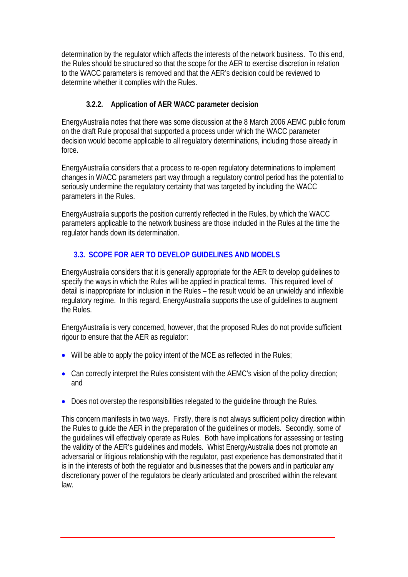<span id="page-12-0"></span>determination by the regulator which affects the interests of the network business. To this end, the Rules should be structured so that the scope for the AER to exercise discretion in relation to the WACC parameters is removed and that the AER's decision could be reviewed to determine whether it complies with the Rules.

## **3.2.2. Application of AER WACC parameter decision**

EnergyAustralia notes that there was some discussion at the 8 March 2006 AEMC public forum on the draft Rule proposal that supported a process under which the WACC parameter decision would become applicable to all regulatory determinations, including those already in force.

EnergyAustralia considers that a process to re-open regulatory determinations to implement changes in WACC parameters part way through a regulatory control period has the potential to seriously undermine the regulatory certainty that was targeted by including the WACC parameters in the Rules.

EnergyAustralia supports the position currently reflected in the Rules, by which the WACC parameters applicable to the network business are those included in the Rules at the time the regulator hands down its determination.

# **3.3. SCOPE FOR AER TO DEVELOP GUIDELINES AND MODELS**

<span id="page-12-1"></span>EnergyAustralia considers that it is generally appropriate for the AER to develop guidelines to specify the ways in which the Rules will be applied in practical terms. This required level of detail is inappropriate for inclusion in the Rules – the result would be an unwieldy and inflexible regulatory regime. In this regard, EnergyAustralia supports the use of guidelines to augment the Rules.

EnergyAustralia is very concerned, however, that the proposed Rules do not provide sufficient rigour to ensure that the AER as regulator:

- Will be able to apply the policy intent of the MCE as reflected in the Rules;
- Can correctly interpret the Rules consistent with the AEMC's vision of the policy direction: and
- Does not overstep the responsibilities relegated to the quideline through the Rules.

This concern manifests in two ways. Firstly, there is not always sufficient policy direction within the Rules to guide the AER in the preparation of the guidelines or models. Secondly, some of the guidelines will effectively operate as Rules. Both have implications for assessing or testing the validity of the AER's guidelines and models. Whist EnergyAustralia does not promote an adversarial or litigious relationship with the regulator, past experience has demonstrated that it is in the interests of both the regulator and businesses that the powers and in particular any discretionary power of the regulators be clearly articulated and proscribed within the relevant law.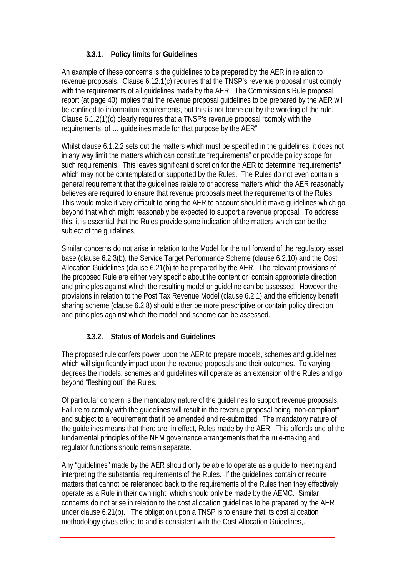## **3.3.1. Policy limits for Guidelines**

<span id="page-13-0"></span>An example of these concerns is the guidelines to be prepared by the AER in relation to revenue proposals. Clause 6.12.1(c) requires that the TNSP's revenue proposal must comply with the requirements of all guidelines made by the AER. The Commission's Rule proposal report (at page 40) implies that the revenue proposal guidelines to be prepared by the AER will be confined to information requirements, but this is not borne out by the wording of the rule. Clause 6.1.2(1)(c) clearly requires that a TNSP's revenue proposal "comply with the requirements of … guidelines made for that purpose by the AER".

Whilst clause 6.1.2.2 sets out the matters which must be specified in the guidelines, it does not in any way limit the matters which can constitute "requirements" or provide policy scope for such requirements. This leaves significant discretion for the AER to determine "requirements" which may not be contemplated or supported by the Rules. The Rules do not even contain a general requirement that the guidelines relate to or address matters which the AER reasonably believes are required to ensure that revenue proposals meet the requirements of the Rules. This would make it very difficult to bring the AER to account should it make guidelines which go beyond that which might reasonably be expected to support a revenue proposal. To address this, it is essential that the Rules provide some indication of the matters which can be the subject of the guidelines.

Similar concerns do not arise in relation to the Model for the roll forward of the regulatory asset base (clause 6.2.3(b), the Service Target Performance Scheme (clause 6.2.10) and the Cost Allocation Guidelines (clause 6.21(b) to be prepared by the AER. The relevant provisions of the proposed Rule are either very specific about the content or contain appropriate direction and principles against which the resulting model or guideline can be assessed. However the provisions in relation to the Post Tax Revenue Model (clause 6.2.1) and the efficiency benefit sharing scheme (clause 6.2.8) should either be more prescriptive or contain policy direction and principles against which the model and scheme can be assessed.

## **3.3.2. Status of Models and Guidelines**

The proposed rule confers power upon the AER to prepare models, schemes and guidelines which will significantly impact upon the revenue proposals and their outcomes. To varying degrees the models, schemes and guidelines will operate as an extension of the Rules and go beyond "fleshing out" the Rules.

Of particular concern is the mandatory nature of the guidelines to support revenue proposals. Failure to comply with the guidelines will result in the revenue proposal being "non-compliant" and subject to a requirement that it be amended and re-submitted. The mandatory nature of the guidelines means that there are, in effect, Rules made by the AER. This offends one of the fundamental principles of the NEM governance arrangements that the rule-making and regulator functions should remain separate.

Any "guidelines" made by the AER should only be able to operate as a guide to meeting and interpreting the substantial requirements of the Rules. If the guidelines contain or require matters that cannot be referenced back to the requirements of the Rules then they effectively operate as a Rule in their own right, which should only be made by the AEMC. Similar concerns do not arise in relation to the cost allocation guidelines to be prepared by the AER under clause 6.21(b). The obligation upon a TNSP is to ensure that its cost allocation methodology gives effect to and is consistent with the Cost Allocation Guidelines,.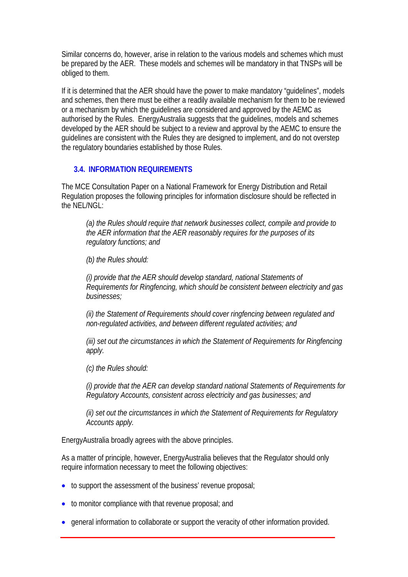<span id="page-14-0"></span>Similar concerns do, however, arise in relation to the various models and schemes which must be prepared by the AER. These models and schemes will be mandatory in that TNSPs will be obliged to them.

If it is determined that the AER should have the power to make mandatory "guidelines", models and schemes, then there must be either a readily available mechanism for them to be reviewed or a mechanism by which the guidelines are considered and approved by the AEMC as authorised by the Rules. EnergyAustralia suggests that the guidelines, models and schemes developed by the AER should be subject to a review and approval by the AEMC to ensure the guidelines are consistent with the Rules they are designed to implement, and do not overstep the regulatory boundaries established by those Rules.

#### **3.4. INFORMATION REQUIREMENTS**

The MCE Consultation Paper on a National Framework for Energy Distribution and Retail Regulation proposes the following principles for information disclosure should be reflected in the NEL/NGL:

*(a) the Rules should require that network businesses collect, compile and provide to the AER information that the AER reasonably requires for the purposes of its regulatory functions; and* 

<span id="page-14-1"></span>*(b) the Rules should:* 

*(i) provide that the AER should develop standard, national Statements of Requirements for Ringfencing, which should be consistent between electricity and gas businesses;* 

*(ii) the Statement of Requirements should cover ringfencing between regulated and non-regulated activities, and between different regulated activities; and* 

*(iii) set out the circumstances in which the Statement of Requirements for Ringfencing apply.* 

*(c) the Rules should:* 

*(i) provide that the AER can develop standard national Statements of Requirements for Regulatory Accounts, consistent across electricity and gas businesses; and* 

*(ii) set out the circumstances in which the Statement of Requirements for Regulatory Accounts apply.* 

EnergyAustralia broadly agrees with the above principles.

As a matter of principle, however, EnergyAustralia believes that the Regulator should only require information necessary to meet the following objectives:

- to support the assessment of the business' revenue proposal;
- to monitor compliance with that revenue proposal; and
- general information to collaborate or support the veracity of other information provided.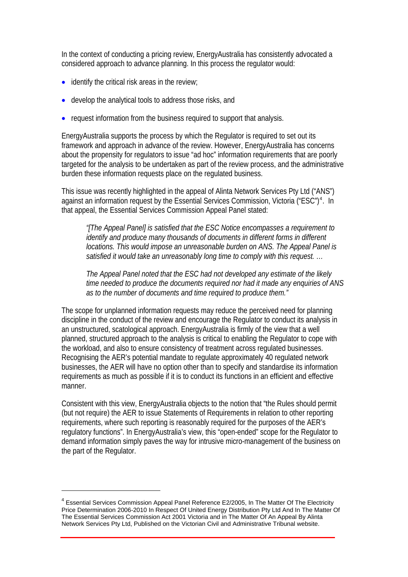In the context of conducting a pricing review, EnergyAustralia has consistently advocated a considered approach to advance planning. In this process the regulator would:

- identify the critical risk areas in the review;
- develop the analytical tools to address those risks, and
- request information from the business required to support that analysis.

EnergyAustralia supports the process by which the Regulator is required to set out its framework and approach in advance of the review. However, EnergyAustralia has concerns about the propensity for regulators to issue "ad hoc" information requirements that are poorly targeted for the analysis to be undertaken as part of the review process, and the administrative burden these information requests place on the regulated business.

This issue was recently highlighted in the appeal of Alinta Network Services Pty Ltd ("ANS") against an information request by the Essential Services Commission, Victoria ("ESC")<sup>[4](#page-15-0)</sup>. In that appeal, the Essential Services Commission Appeal Panel stated:

*"[The Appeal Panel] is satisfied that the ESC Notice encompasses a requirement to identify and produce many thousands of documents in different forms in different locations. This would impose an unreasonable burden on ANS. The Appeal Panel is satisfied it would take an unreasonably long time to comply with this request. …* 

*The Appeal Panel noted that the ESC had not developed any estimate of the likely time needed to produce the documents required nor had it made any enquiries of ANS as to the number of documents and time required to produce them."* 

The scope for unplanned information requests may reduce the perceived need for planning discipline in the conduct of the review and encourage the Regulator to conduct its analysis in an unstructured, scatological approach. EnergyAustralia is firmly of the view that a well planned, structured approach to the analysis is critical to enabling the Regulator to cope with the workload, and also to ensure consistency of treatment across regulated businesses. Recognising the AER's potential mandate to regulate approximately 40 regulated network businesses, the AER will have no option other than to specify and standardise its information requirements as much as possible if it is to conduct its functions in an efficient and effective manner.

Consistent with this view, EnergyAustralia objects to the notion that "the Rules should permit (but not require) the AER to issue Statements of Requirements in relation to other reporting requirements, where such reporting is reasonably required for the purposes of the AER's regulatory functions". In EnergyAustralia's view, this "open-ended" scope for the Regulator to demand information simply paves the way for intrusive micro-management of the business on the part of the Regulator.

Review of the Electricity Transmission Revenue and Pricing Rules 10

 $\overline{a}$ 

<span id="page-15-0"></span><sup>&</sup>lt;sup>4</sup> Essential Services Commission Appeal Panel Reference E2/2005, In The Matter Of The Electricity Price Determination 2006-2010 In Respect Of United Energy Distribution Pty Ltd And In The Matter Of The Essential Services Commission Act 2001 Victoria and in The Matter Of An Appeal By Alinta Network Services Pty Ltd, Published on the Victorian Civil and Administrative Tribunal website.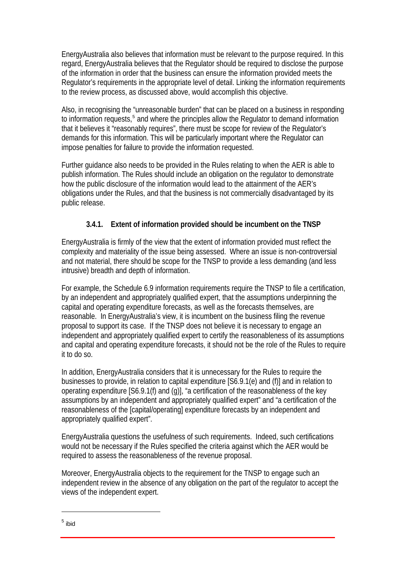<span id="page-16-0"></span>EnergyAustralia also believes that information must be relevant to the purpose required. In this regard, EnergyAustralia believes that the Regulator should be required to disclose the purpose of the information in order that the business can ensure the information provided meets the Regulator's requirements in the appropriate level of detail. Linking the information requirements to the review process, as discussed above, would accomplish this objective.

Also, in recognising the "unreasonable burden" that can be placed on a business in responding to information requests,<sup>[5](#page-16-1)</sup> and where the principles allow the Regulator to demand information that it believes it "reasonably requires", there must be scope for review of the Regulator's demands for this information. This will be particularly important where the Regulator can impose penalties for failure to provide the information requested.

Further guidance also needs to be provided in the Rules relating to when the AER is able to publish information. The Rules should include an obligation on the regulator to demonstrate how the public disclosure of the information would lead to the attainment of the AER's obligations under the Rules, and that the business is not commercially disadvantaged by its public release.

## **3.4.1. Extent of information provided should be incumbent on the TNSP**

EnergyAustralia is firmly of the view that the extent of information provided must reflect the complexity and materiality of the issue being assessed. Where an issue is non-controversial and not material, there should be scope for the TNSP to provide a less demanding (and less intrusive) breadth and depth of information.

For example, the Schedule 6.9 information requirements require the TNSP to file a certification, by an independent and appropriately qualified expert, that the assumptions underpinning the capital and operating expenditure forecasts, as well as the forecasts themselves, are reasonable. In EnergyAustralia's view, it is incumbent on the business filing the revenue proposal to support its case. If the TNSP does not believe it is necessary to engage an independent and appropriately qualified expert to certify the reasonableness of its assumptions and capital and operating expenditure forecasts, it should not be the role of the Rules to require it to do so.

In addition, EnergyAustralia considers that it is unnecessary for the Rules to require the businesses to provide, in relation to capital expenditure [S6.9.1(e) and (f)] and in relation to operating expenditure [S6.9.1(f) and (g)], "a certification of the reasonableness of the key assumptions by an independent and appropriately qualified expert" and "a certification of the reasonableness of the [capital/operating] expenditure forecasts by an independent and appropriately qualified expert".

EnergyAustralia questions the usefulness of such requirements. Indeed, such certifications would not be necessary if the Rules specified the criteria against which the AER would be required to assess the reasonableness of the revenue proposal.

Moreover, EnergyAustralia objects to the requirement for the TNSP to engage such an independent review in the absence of any obligation on the part of the regulator to accept the views of the independent expert.

Review of the Electricity Transmission Revenue and Pricing Rules 11

<span id="page-16-1"></span> $^5$  ibid

 $\overline{a}$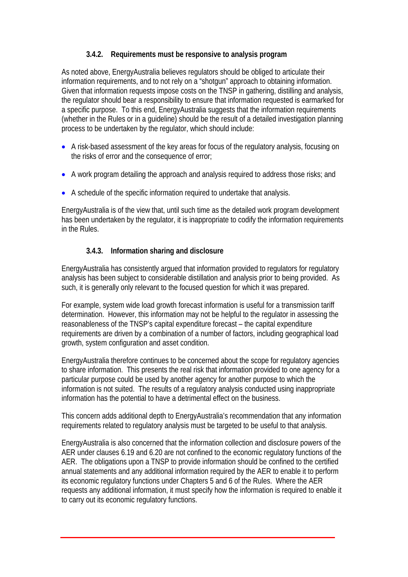## **3.4.2. Requirements must be responsive to analysis program**

<span id="page-17-0"></span>As noted above, EnergyAustralia believes regulators should be obliged to articulate their information requirements, and to not rely on a "shotgun" approach to obtaining information. Given that information requests impose costs on the TNSP in gathering, distilling and analysis, the regulator should bear a responsibility to ensure that information requested is earmarked for a specific purpose. To this end, EnergyAustralia suggests that the information requirements (whether in the Rules or in a guideline) should be the result of a detailed investigation planning process to be undertaken by the regulator, which should include:

- A risk-based assessment of the key areas for focus of the regulatory analysis, focusing on the risks of error and the consequence of error;
- A work program detailing the approach and analysis required to address those risks; and
- A schedule of the specific information required to undertake that analysis.

EnergyAustralia is of the view that, until such time as the detailed work program development has been undertaken by the regulator, it is inappropriate to codify the information requirements in the Rules.

## **3.4.3. Information sharing and disclosure**

EnergyAustralia has consistently argued that information provided to regulators for regulatory analysis has been subject to considerable distillation and analysis prior to being provided. As such, it is generally only relevant to the focused question for which it was prepared.

For example, system wide load growth forecast information is useful for a transmission tariff determination. However, this information may not be helpful to the regulator in assessing the reasonableness of the TNSP's capital expenditure forecast – the capital expenditure requirements are driven by a combination of a number of factors, including geographical load growth, system configuration and asset condition.

EnergyAustralia therefore continues to be concerned about the scope for regulatory agencies to share information. This presents the real risk that information provided to one agency for a particular purpose could be used by another agency for another purpose to which the information is not suited. The results of a regulatory analysis conducted using inappropriate information has the potential to have a detrimental effect on the business.

This concern adds additional depth to EnergyAustralia's recommendation that any information requirements related to regulatory analysis must be targeted to be useful to that analysis.

EnergyAustralia is also concerned that the information collection and disclosure powers of the AER under clauses 6.19 and 6.20 are not confined to the economic regulatory functions of the AER. The obligations upon a TNSP to provide information should be confined to the certified annual statements and any additional information required by the AER to enable it to perform its economic regulatory functions under Chapters 5 and 6 of the Rules. Where the AER requests any additional information, it must specify how the information is required to enable it to carry out its economic regulatory functions.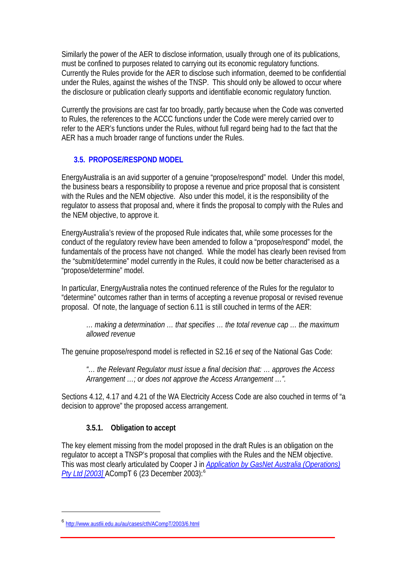<span id="page-18-0"></span>Similarly the power of the AER to disclose information, usually through one of its publications, must be confined to purposes related to carrying out its economic regulatory functions. Currently the Rules provide for the AER to disclose such information, deemed to be confidential under the Rules, against the wishes of the TNSP. This should only be allowed to occur where the disclosure or publication clearly supports and identifiable economic regulatory function.

Currently the provisions are cast far too broadly, partly because when the Code was converted to Rules, the references to the ACCC functions under the Code were merely carried over to refer to the AER's functions under the Rules, without full regard being had to the fact that the AER has a much broader range of functions under the Rules.

#### **3.5. PROPOSE/RESPOND MODEL**

<span id="page-18-1"></span>EnergyAustralia is an avid supporter of a genuine "propose/respond" model. Under this model, the business bears a responsibility to propose a revenue and price proposal that is consistent with the Rules and the NEM objective. Also under this model, it is the responsibility of the regulator to assess that proposal and, where it finds the proposal to comply with the Rules and the NEM objective, to approve it.

EnergyAustralia's review of the proposed Rule indicates that, while some processes for the conduct of the regulatory review have been amended to follow a "propose/respond" model, the fundamentals of the process have not changed. While the model has clearly been revised from the "submit/determine" model currently in the Rules, it could now be better characterised as a "propose/determine" model.

In particular, EnergyAustralia notes the continued reference of the Rules for the regulator to "determine" outcomes rather than in terms of accepting a revenue proposal or revised revenue proposal. Of note, the language of section 6.11 is still couched in terms of the AER:

*… making a determination … that specifies … the total revenue cap … the maximum allowed revenue* 

The genuine propose/respond model is reflected in S2.16 *et seq* of the National Gas Code:

*"… the Relevant Regulator must issue a final decision that: … approves the Access Arrangement …; or does not approve the Access Arrangement …".* 

Sections 4.12, 4.17 and 4.21 of the WA Electricity Access Code are also couched in terms of "a decision to approve" the proposed access arrangement.

## **3.5.1. Obligation to accept**

The key element missing from the model proposed in the draft Rules is an obligation on the regulator to accept a TNSP's proposal that complies with the Rules and the NEM objective. This was most clearly articulated by Cooper J in *[Application by GasNet Australia \(Operations\)](http://www.austlii.edu.au/au/cases/cth/ACompT/2003/6.html)  [Pty Ltd \[2003\]](http://www.austlii.edu.au/au/cases/cth/ACompT/2003/6.html)* ACompT 6 (23 December 2003):[6](#page-18-2)

Review of the Electricity Transmission Revenue and Pricing Rules 13

 $\overline{a}$ 

<span id="page-18-2"></span><sup>6</sup> <http://www.austlii.edu.au/au/cases/cth/ACompT/2003/6.html>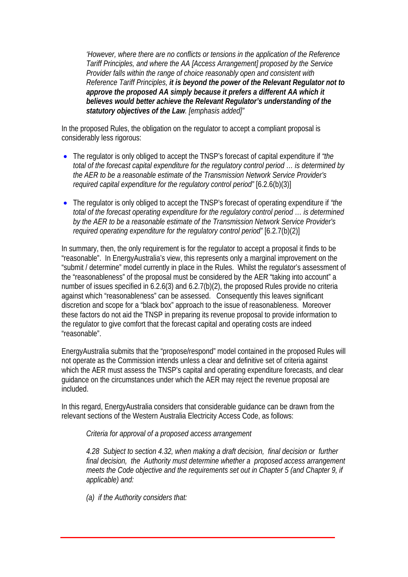*'However, where there are no conflicts or tensions in the application of the Reference Tariff Principles, and where the AA [Access Arrangement] proposed by the Service Provider falls within the range of choice reasonably open and consistent with Reference Tariff Principles, it is beyond the power of the Relevant Regulator not to approve the proposed AA simply because it prefers a different AA which it believes would better achieve the Relevant Regulator's understanding of the statutory objectives of the Law. [emphasis added]"* 

In the proposed Rules, the obligation on the regulator to accept a compliant proposal is considerably less rigorous:

- The regulator is only obliged to accept the TNSP's forecast of capital expenditure if *"the total of the forecast capital expenditure for the regulatory control period … is determined by the AER to be a reasonable estimate of the Transmission Network Service Provider's required capital expenditure for the regulatory control period"* [6.2.6(b)(3)]
- The regulator is only obliged to accept the TNSP's forecast of operating expenditure if *"the total of the forecast operating expenditure for the regulatory control period … is determined by the AER to be a reasonable estimate of the Transmission Network Service Provider's required operating expenditure for the regulatory control period"* [6.2.7(b)(2)]

In summary, then, the only requirement is for the regulator to accept a proposal it finds to be "reasonable". In EnergyAustralia's view, this represents only a marginal improvement on the "submit / determine" model currently in place in the Rules. Whilst the regulator's assessment of the "reasonableness" of the proposal must be considered by the AER "taking into account" a number of issues specified in 6.2.6(3) and 6.2.7(b)(2), the proposed Rules provide no criteria against which "reasonableness" can be assessed. Consequently this leaves significant discretion and scope for a "black box" approach to the issue of reasonableness. Moreover these factors do not aid the TNSP in preparing its revenue proposal to provide information to the regulator to give comfort that the forecast capital and operating costs are indeed "reasonable".

EnergyAustralia submits that the "propose/respond" model contained in the proposed Rules will not operate as the Commission intends unless a clear and definitive set of criteria against which the AER must assess the TNSP's capital and operating expenditure forecasts, and clear guidance on the circumstances under which the AER may reject the revenue proposal are included.

In this regard, EnergyAustralia considers that considerable guidance can be drawn from the relevant sections of the Western Australia Electricity Access Code, as follows:

*Criteria for approval of a proposed access arrangement* 

*4.28 Subject to section 4.32, when making a draft decision, final decision or further final decision, the Authority must determine whether a proposed access arrangement meets the Code objective and the requirements set out in Chapter 5 (and Chapter 9, if applicable) and:* 

Review of the Electricity Transmission Revenue and Pricing Rules 14

*(a) if the Authority considers that:*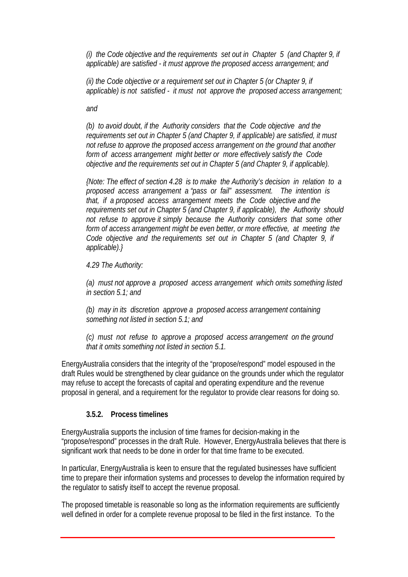<span id="page-20-0"></span>*(i) the Code objective and the requirements set out in Chapter 5 (and Chapter 9, if applicable) are satisfied - it must approve the proposed access arrangement; and* 

*(ii) the Code objective or a requirement set out in Chapter 5 (or Chapter 9, if applicable) is not satisfied - it must not approve the proposed access arrangement;* 

*and* 

*(b) to avoid doubt, if the Authority considers that the Code objective and the requirements set out in Chapter 5 (and Chapter 9, if applicable) are satisfied, it must not refuse to approve the proposed access arrangement on the ground that another form of access arrangement might better or more effectively satisfy the Code objective and the requirements set out in Chapter 5 (and Chapter 9, if applicable).* 

*{Note: The effect of section 4.28 is to make the Authority's decision in relation to a proposed access arrangement a "pass or fail" assessment. The intention is that, if a proposed access arrangement meets the Code objective and the requirements set out in Chapter 5 (and Chapter 9, if applicable), the Authority should not refuse to approve it simply because the Authority considers that some other form of access arrangement might be even better, or more effective, at meeting the Code objective and the requirements set out in Chapter 5 (and Chapter 9, if applicable).}* 

*4.29 The Authority:* 

*(a) must not approve a proposed access arrangement which omits something listed in section 5.1; and* 

*(b) may in its discretion approve a proposed access arrangement containing something not listed in section 5.1; and* 

*(c) must not refuse to approve a proposed access arrangement on the ground that it omits something not listed in section 5.1.* 

EnergyAustralia considers that the integrity of the "propose/respond" model espoused in the draft Rules would be strengthened by clear guidance on the grounds under which the regulator may refuse to accept the forecasts of capital and operating expenditure and the revenue proposal in general, and a requirement for the regulator to provide clear reasons for doing so.

#### **3.5.2. Process timelines**

EnergyAustralia supports the inclusion of time frames for decision-making in the "propose/respond" processes in the draft Rule. However, EnergyAustralia believes that there is significant work that needs to be done in order for that time frame to be executed.

In particular, EnergyAustralia is keen to ensure that the regulated businesses have sufficient time to prepare their information systems and processes to develop the information required by the regulator to satisfy itself to accept the revenue proposal.

The proposed timetable is reasonable so long as the information requirements are sufficiently well defined in order for a complete revenue proposal to be filed in the first instance. To the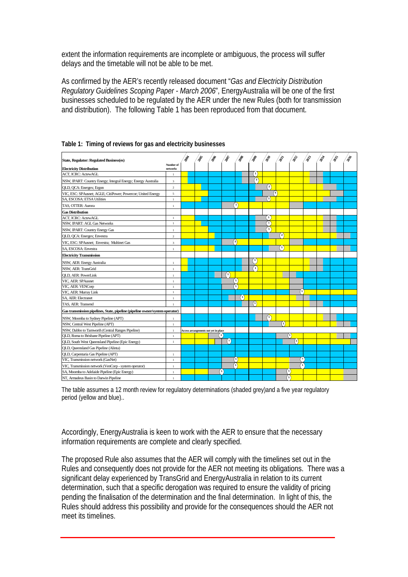extent the information requirements are incomplete or ambiguous, the process will suffer delays and the timetable will not be able to be met.

As confirmed by the AER's recently released document "*Gas and Electricity Distribution Regulatory Guidelines Scoping Paper - March 2006*", EnergyAustralia will be one of the first businesses scheduled to be regulated by the AER under the new Rules (both for transmission and distribution). The following Table 1 has been reproduced from that document.

| State, Regulator: Regulated Business(es)                                     |                         | 哈哈 | 288                                  | <b>PRI</b>             | <b>PR</b>      | $\delta^{\rm S}$ | $\phi^{\rm s}$        | $\hat{\phi}$                                   | $\hat{\mathcal{S}}$ | $\hat{\mathcal{S}}$ | 2012 | 2015 | 286 |
|------------------------------------------------------------------------------|-------------------------|----|--------------------------------------|------------------------|----------------|------------------|-----------------------|------------------------------------------------|---------------------|---------------------|------|------|-----|
|                                                                              | Number of               |    |                                      |                        |                |                  |                       |                                                |                     |                     |      |      |     |
| <b>Electricity Distribution</b>                                              | networks                |    |                                      |                        |                |                  |                       |                                                |                     |                     |      |      |     |
| <b>ACT. ICRC: ActewAGL</b>                                                   | $\mathbf{1}$            |    |                                      |                        |                | $\mathbf{1}$     |                       |                                                |                     |                     |      |      |     |
| NSW, IPART: Country Energy; Integral Energy; Energy Australia                | $\overline{\mathbf{3}}$ |    |                                      |                        |                | ବ                |                       |                                                |                     |                     |      |      |     |
| OLD, OCA: Energex; Ergon                                                     | $\,2\,$                 |    |                                      |                        |                |                  | $\binom{2}{3}$        |                                                |                     |                     |      |      |     |
| VIC, ESC: SPAusnet; AGLE; CitiPower; Powercor; United Energy                 | 5                       |    |                                      |                        |                |                  | $\binom{5}{ }$        |                                                |                     |                     |      |      |     |
| SA, ESCOSA: ETSA Utilities                                                   | $\mathbf{1}$            |    |                                      |                        |                |                  | $^{\left( 1\right) }$ |                                                |                     |                     |      |      |     |
| TAS, OTTER: Aurora                                                           | $\mathbf{1}$            |    |                                      |                        | V              |                  |                       |                                                |                     |                     |      |      |     |
| <b>Gas Distribution</b>                                                      |                         |    |                                      |                        |                |                  |                       |                                                |                     |                     |      |      |     |
| <b>ACT. ICRC: ActewAGL</b>                                                   | $\mathbf{1}$            |    |                                      |                        |                |                  | $\left[ 1 \right]$    |                                                |                     |                     |      |      |     |
| NSW, IPART: AGL Gas Networks                                                 | $\mathbf{1}$            |    |                                      |                        |                |                  | 7                     |                                                |                     |                     |      |      |     |
| NSW, IPART: Country Energy Gas                                               | $\,1\,$                 |    |                                      |                        |                |                  | ΄1.                   |                                                |                     |                     |      |      |     |
| QLD, QCA: Energex; Envestra                                                  | $\,2\,$                 |    |                                      |                        |                |                  |                       | $\binom{2}{}$                                  |                     |                     |      |      |     |
| VIC, ESC: SPAusnet: Envestra: Multinet Gas                                   | $\overline{3}$          |    |                                      |                        | $\mathbf{a}$   |                  |                       |                                                |                     |                     |      |      |     |
| SA, ESCOSA: Envestra                                                         | $\,1\,$                 |    |                                      |                        |                |                  |                       | $\left( \begin{matrix} 1 \end{matrix} \right)$ |                     |                     |      |      |     |
| <b>Electricity Transmission</b>                                              |                         |    |                                      |                        |                |                  |                       |                                                |                     |                     |      |      |     |
| NSW, AER: Energy Australia                                                   | $\mathbf{1}$            |    |                                      |                        |                | $\mathbf{1}$     |                       |                                                |                     |                     |      |      |     |
| NSW, AER: TransGrid                                                          | $\,1\,$                 |    |                                      |                        |                | า                |                       |                                                |                     |                     |      |      |     |
| OLD. AER: PowerLink                                                          | $\,1\,$                 |    |                                      | ⋒                      |                |                  |                       |                                                |                     |                     |      |      |     |
| VIC, AER: SPAusnet                                                           | $\,1\,$                 |    |                                      |                        | $^{\prime}$ 1) |                  |                       |                                                |                     |                     |      |      |     |
| VIC, AER: VENCorp                                                            | $\mathbf{1}$            |    |                                      |                        | '1             |                  |                       |                                                |                     |                     |      |      |     |
| VIC, AER: Murray Link                                                        | $\,1\,$                 |    |                                      |                        |                |                  |                       |                                                |                     | $\mathbf{1}$        |      |      |     |
| <b>SA, AER: Electranet</b>                                                   | $\mathbf{1}$            |    |                                      |                        | (1)            |                  |                       |                                                |                     |                     |      |      |     |
| TAS, AER: Transend                                                           | $\overline{1}$          |    |                                      |                        |                | ⋒                |                       |                                                |                     |                     |      |      |     |
| Gas transmission pipelines, State, pipeline (pipeline owner/system operator) |                         |    |                                      |                        |                |                  |                       |                                                |                     |                     |      |      |     |
| NSW, Moomba to Sydney Pipeline (APT)                                         | $\,1\,$                 |    |                                      |                        |                |                  | T                     |                                                |                     |                     |      |      |     |
| NSW, Central West Pipeline (APT)                                             | $\mathbf{1}$            |    |                                      |                        |                |                  |                       | $\left( 1\right)$                              |                     |                     |      |      |     |
| NSW, Dubbo to Tamworth (Central Ranges Pipeline)                             | $\,1\,$                 |    | Access arrangements not yet in place |                        |                |                  |                       |                                                |                     |                     |      |      |     |
| QLD, Roma to Brisbane Pipeline (APT)                                         | $\mathbf{1}$            |    |                                      | $\left( 1\right)$      |                |                  |                       |                                                | (1)                 |                     |      |      |     |
| QLD, South West Queensland Pipeline (Epic Energy)                            | $\mathbf{1}$            |    |                                      | $^{\text{\tiny{(1)}}}$ |                |                  |                       |                                                | $\left( 1 \right)$  |                     |      |      |     |
| QLD, Queensland Gas Pipeline (Alinta)                                        |                         |    |                                      |                        |                |                  |                       |                                                |                     |                     |      |      |     |
| QLD, Carpentaria Gas Pipeline (APT)                                          | $\mathbf{1}$            |    |                                      |                        |                |                  |                       |                                                |                     |                     |      |      |     |
| VIC, Transmission network (GasNet)                                           | $\mathbf{1}$            |    |                                      |                        | $\binom{1}{1}$ |                  |                       |                                                |                     | $\left(1\right)$    |      |      |     |
| VIC, Transmission network (VenCorp - system operator)                        | $\mathbf{1}$            |    |                                      |                        | '1             |                  |                       |                                                |                     | $^{\prime}$ 1       |      |      |     |
| SA, Moomba to Adelaide Pipeline (Epic Energy)                                | $\,1\,$                 |    |                                      | (1)                    |                |                  |                       |                                                | $\mathbf{1}$        |                     |      |      |     |
| NT, Armadeus Basin to Darwin Pipeline                                        | $\mathbf{1}$            |    |                                      |                        |                |                  |                       |                                                | Ŧ                   |                     |      |      |     |

|  |  | Table 1: Timing of reviews for gas and electricity businesses |
|--|--|---------------------------------------------------------------|
|  |  |                                                               |

The table assumes a 12 month review for regulatory determinations (shaded grey)and a five year regulatory period (yellow and blue)..

Accordingly, EnergyAustralia is keen to work with the AER to ensure that the necessary information requirements are complete and clearly specified.

The proposed Rule also assumes that the AER will comply with the timelines set out in the Rules and consequently does not provide for the AER not meeting its obligations. There was a significant delay experienced by TransGrid and EnergyAustralia in relation to its current determination, such that a specific derogation was required to ensure the validity of pricing pending the finalisation of the determination and the final determination. In light of this, the Rules should address this possibility and provide for the consequences should the AER not meet its timelines.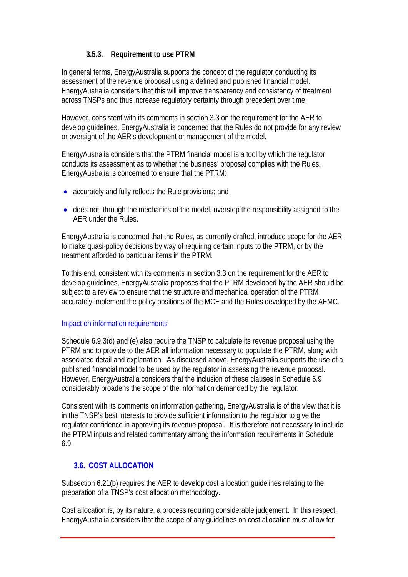## **3.5.3. Requirement to use PTRM**

<span id="page-22-0"></span>In general terms, EnergyAustralia supports the concept of the regulator conducting its assessment of the revenue proposal using a defined and published financial model. EnergyAustralia considers that this will improve transparency and consistency of treatment across TNSPs and thus increase regulatory certainty through precedent over time.

However, consistent with its comments in section [3.3](#page-14-1) on the requirement for the AER to develop guidelines, EnergyAustralia is concerned that the Rules do not provide for any review or oversight of the AER's development or management of the model.

EnergyAustralia considers that the PTRM financial model is a tool by which the regulator conducts its assessment as to whether the business' proposal complies with the Rules. EnergyAustralia is concerned to ensure that the PTRM:

- accurately and fully reflects the Rule provisions; and
- does not, through the mechanics of the model, overstep the responsibility assigned to the AER under the Rules.

EnergyAustralia is concerned that the Rules, as currently drafted, introduce scope for the AER to make quasi-policy decisions by way of requiring certain inputs to the PTRM, or by the treatment afforded to particular items in the PTRM.

To this end, consistent with its comments in section [3.3](#page-14-1) on the requirement for the AER to develop guidelines, EnergyAustralia proposes that the PTRM developed by the AER should be subject to a review to ensure that the structure and mechanical operation of the PTRM accurately implement the policy positions of the MCE and the Rules developed by the AEMC.

#### Impact on information requirements

Schedule 6.9.3(d) and (e) also require the TNSP to calculate its revenue proposal using the PTRM and to provide to the AER all information necessary to populate the PTRM, along with associated detail and explanation. As discussed above, EnergyAustralia supports the use of a published financial model to be used by the regulator in assessing the revenue proposal. However, EnergyAustralia considers that the inclusion of these clauses in Schedule 6.9 considerably broadens the scope of the information demanded by the regulator.

Consistent with its comments on information gathering, EnergyAustralia is of the view that it is in the TNSP's best interests to provide sufficient information to the regulator to give the regulator confidence in approving its revenue proposal. It is therefore not necessary to include the PTRM inputs and related commentary among the information requirements in Schedule 6.9.

## **3.6. COST ALLOCATION**

Subsection 6.21(b) requires the AER to develop cost allocation guidelines relating to the preparation of a TNSP's cost allocation methodology.

Cost allocation is, by its nature, a process requiring considerable judgement. In this respect, EnergyAustralia considers that the scope of any guidelines on cost allocation must allow for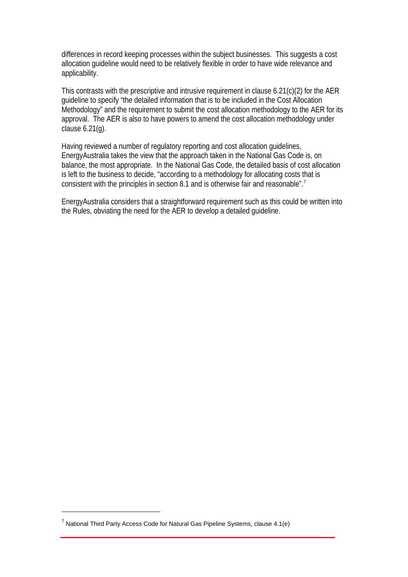differences in record keeping processes within the subject businesses. This suggests a cost allocation guideline would need to be relatively flexible in order to have wide relevance and applicability.

This contrasts with the prescriptive and intrusive requirement in clause 6.21(c)(2) for the AER guideline to specify "the detailed information that is to be included in the Cost Allocation Methodology" and the requirement to submit the cost allocation methodology to the AER for its approval. The AER is also to have powers to amend the cost allocation methodology under clause 6.21(g).

Having reviewed a number of regulatory reporting and cost allocation guidelines, EnergyAustralia takes the view that the approach taken in the National Gas Code is, on balance, the most appropriate. In the National Gas Code, the detailed basis of cost allocation is left to the business to decide, "according to a methodology for allocating costs that is consistent with the principles in section 8.1 and is otherwise fair and reasonable".<sup>[7](#page-23-0)</sup>

EnergyAustralia considers that a straightforward requirement such as this could be written into the Rules, obviating the need for the AER to develop a detailed guideline.

Review of the Electricity Transmission Revenue and Pricing Rules 18

 $\overline{a}$ 

<span id="page-23-0"></span><sup>&</sup>lt;sup>7</sup> National Third Party Access Code for Natural Gas Pipeline Systems, clause 4.1(e)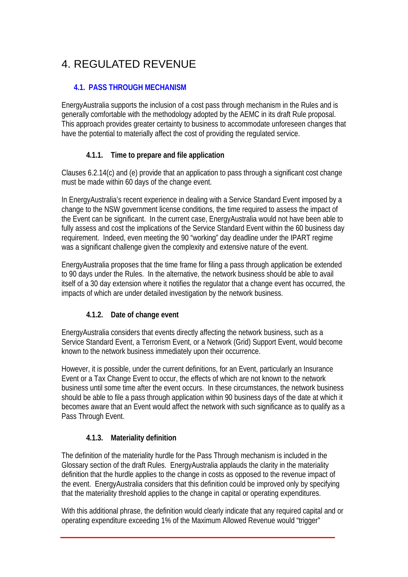# <span id="page-24-0"></span>4. REGULATED REVENUE

#### **4.1. PASS THROUGH MECHANISM**

EnergyAustralia supports the inclusion of a cost pass through mechanism in the Rules and is generally comfortable with the methodology adopted by the AEMC in its draft Rule proposal. This approach provides greater certainty to business to accommodate unforeseen changes that have the potential to materially affect the cost of providing the regulated service.

## **4.1.1. Time to prepare and file application**

Clauses 6.2.14(c) and (e) provide that an application to pass through a significant cost change must be made within 60 days of the change event.

In EnergyAustralia's recent experience in dealing with a Service Standard Event imposed by a change to the NSW government license conditions, the time required to assess the impact of the Event can be significant. In the current case, EnergyAustralia would not have been able to fully assess and cost the implications of the Service Standard Event within the 60 business day requirement. Indeed, even meeting the 90 "working" day deadline under the IPART regime was a significant challenge given the complexity and extensive nature of the event.

EnergyAustralia proposes that the time frame for filing a pass through application be extended to 90 days under the Rules. In the alternative, the network business should be able to avail itself of a 30 day extension where it notifies the regulator that a change event has occurred, the impacts of which are under detailed investigation by the network business.

## **4.1.2. Date of change event**

EnergyAustralia considers that events directly affecting the network business, such as a Service Standard Event, a Terrorism Event, or a Network (Grid) Support Event, would become known to the network business immediately upon their occurrence.

However, it is possible, under the current definitions, for an Event, particularly an Insurance Event or a Tax Change Event to occur, the effects of which are not known to the network business until some time after the event occurs. In these circumstances, the network business should be able to file a pass through application within 90 business days of the date at which it becomes aware that an Event would affect the network with such significance as to qualify as a Pass Through Event.

## **4.1.3. Materiality definition**

The definition of the materiality hurdle for the Pass Through mechanism is included in the Glossary section of the draft Rules. EnergyAustralia applauds the clarity in the materiality definition that the hurdle applies to the change in costs as opposed to the revenue impact of the event. EnergyAustralia considers that this definition could be improved only by specifying that the materiality threshold applies to the change in capital or operating expenditures.

With this additional phrase, the definition would clearly indicate that any required capital and or operating expenditure exceeding 1% of the Maximum Allowed Revenue would "trigger"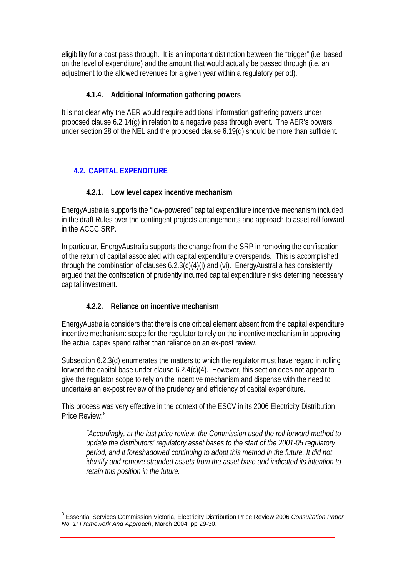<span id="page-25-0"></span>eligibility for a cost pass through. It is an important distinction between the "trigger" (i.e. based on the level of expenditure) and the amount that would actually be passed through (i.e. an adjustment to the allowed revenues for a given year within a regulatory period).

## **4.1.4. Additional Information gathering powers**

It is not clear why the AER would require additional information gathering powers under proposed clause 6.2.14(g) in relation to a negative pass through event. The AER's powers under section 28 of the NEL and the proposed clause 6.19(d) should be more than sufficient.

## **4.2. CAPITAL EXPENDITURE**

 $\overline{a}$ 

## **4.2.1. Low level capex incentive mechanism**

<span id="page-25-1"></span>EnergyAustralia supports the "low-powered" capital expenditure incentive mechanism included in the draft Rules over the contingent projects arrangements and approach to asset roll forward in the ACCC SRP.

In particular, EnergyAustralia supports the change from the SRP in removing the confiscation of the return of capital associated with capital expenditure overspends. This is accomplished through the combination of clauses 6.2.3(c)(4)(i) and (vi). EnergyAustralia has consistently argued that the confiscation of prudently incurred capital expenditure risks deterring necessary capital investment.

# **4.2.2. Reliance on incentive mechanism**

EnergyAustralia considers that there is one critical element absent from the capital expenditure incentive mechanism: scope for the regulator to rely on the incentive mechanism in approving the actual capex spend rather than reliance on an ex-post review.

Subsection 6.2.3(d) enumerates the matters to which the regulator must have regard in rolling forward the capital base under clause 6.2.4(c)(4). However, this section does not appear to give the regulator scope to rely on the incentive mechanism and dispense with the need to undertake an ex-post review of the prudency and efficiency of capital expenditure.

This process was very effective in the context of the ESCV in its 2006 Electricity Distribution Price Review:<sup>[8](#page-25-2)</sup>

*"Accordingly, at the last price review, the Commission used the roll forward method to update the distributors' regulatory asset bases to the start of the 2001-05 regulatory period, and it foreshadowed continuing to adopt this method in the future. It did not identify and remove stranded assets from the asset base and indicated its intention to retain this position in the future.* 

<span id="page-25-2"></span><sup>8</sup> Essential Services Commission Victoria, Electricity Distribution Price Review 2006 *Consultation Paper No. 1: Framework And Approach*, March 2004, pp 29-30.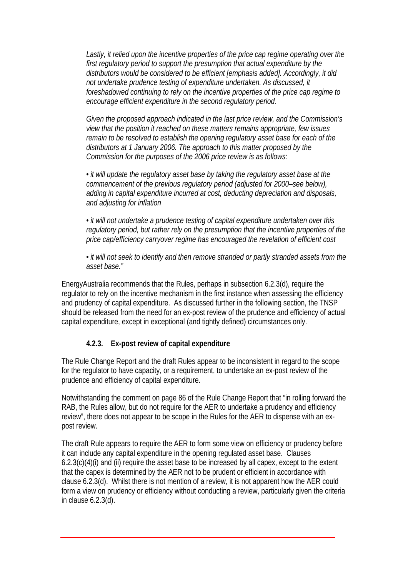<span id="page-26-0"></span>*Lastly, it relied upon the incentive properties of the price cap regime operating over the first regulatory period to support the presumption that actual expenditure by the distributors would be considered to be efficient [emphasis added]. Accordingly, it did not undertake prudence testing of expenditure undertaken. As discussed, it foreshadowed continuing to rely on the incentive properties of the price cap regime to encourage efficient expenditure in the second regulatory period.* 

*Given the proposed approach indicated in the last price review, and the Commission's view that the position it reached on these matters remains appropriate, few issues remain to be resolved to establish the opening regulatory asset base for each of the distributors at 1 January 2006. The approach to this matter proposed by the Commission for the purposes of the 2006 price review is as follows:* 

*• it will update the regulatory asset base by taking the regulatory asset base at the commencement of the previous regulatory period (adjusted for 2000–see below), adding in capital expenditure incurred at cost, deducting depreciation and disposals, and adjusting for inflation* 

*• it will not undertake a prudence testing of capital expenditure undertaken over this regulatory period, but rather rely on the presumption that the incentive properties of the price cap/efficiency carryover regime has encouraged the revelation of efficient cost* 

*• it will not seek to identify and then remove stranded or partly stranded assets from the asset base."* 

EnergyAustralia recommends that the Rules, perhaps in subsection 6.2.3(d), require the regulator to rely on the incentive mechanism in the first instance when assessing the efficiency and prudency of capital expenditure. As discussed further in the following section, the TNSP should be released from the need for an ex-post review of the prudence and efficiency of actual capital expenditure, except in exceptional (and tightly defined) circumstances only.

## **4.2.3. Ex-post review of capital expenditure**

The Rule Change Report and the draft Rules appear to be inconsistent in regard to the scope for the regulator to have capacity, or a requirement, to undertake an ex-post review of the prudence and efficiency of capital expenditure.

Notwithstanding the comment on page 86 of the Rule Change Report that "in rolling forward the RAB, the Rules allow, but do not require for the AER to undertake a prudency and efficiency review", there does not appear to be scope in the Rules for the AER to dispense with an expost review.

The draft Rule appears to require the AER to form some view on efficiency or prudency before it can include any capital expenditure in the opening regulated asset base. Clauses 6.2.3(c)(4)(i) and (ii) require the asset base to be increased by all capex, except to the extent that the capex is determined by the AER not to be prudent or efficient in accordance with clause 6.2.3(d). Whilst there is not mention of a review, it is not apparent how the AER could form a view on prudency or efficiency without conducting a review, particularly given the criteria in clause 6.2.3(d).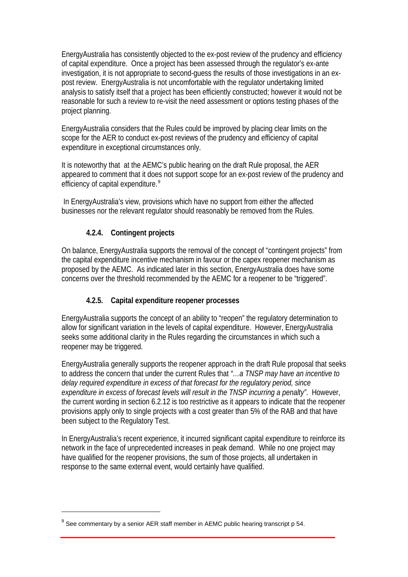<span id="page-27-0"></span>EnergyAustralia has consistently objected to the ex-post review of the prudency and efficiency of capital expenditure. Once a project has been assessed through the regulator's ex-ante investigation, it is not appropriate to second-guess the results of those investigations in an expost review. EnergyAustralia is not uncomfortable with the regulator undertaking limited analysis to satisfy itself that a project has been efficiently constructed; however it would not be reasonable for such a review to re-visit the need assessment or options testing phases of the project planning.

EnergyAustralia considers that the Rules could be improved by placing clear limits on the scope for the AER to conduct ex-post reviews of the prudency and efficiency of capital expenditure in exceptional circumstances only.

It is noteworthy that at the AEMC's public hearing on the draft Rule proposal, the AER appeared to comment that it does not support scope for an ex-post review of the prudency and efficiency of capital expenditure.<sup>[9](#page-27-2)</sup>

 In EnergyAustralia's view, provisions which have no support from either the affected businesses nor the relevant regulator should reasonably be removed from the Rules.

## **4.2.4. Contingent projects**

On balance, EnergyAustralia supports the removal of the concept of "contingent projects" from the capital expenditure incentive mechanism in favour or the capex reopener mechanism as proposed by the AEMC. As indicated later in this section, EnergyAustralia does have some concerns over the threshold recommended by the AEMC for a reopener to be "triggered".

## **4.2.5. Capital expenditure reopener processes**

<span id="page-27-1"></span>EnergyAustralia supports the concept of an ability to "reopen" the regulatory determination to allow for significant variation in the levels of capital expenditure. However, EnergyAustralia seeks some additional clarity in the Rules regarding the circumstances in which such a reopener may be triggered.

EnergyAustralia generally supports the reopener approach in the draft Rule proposal that seeks to address the concern that under the current Rules that *"…a TNSP may have an incentive to delay required expenditure in excess of that forecast for the regulatory period, since expenditure in excess of forecast levels will result in the TNSP incurring a penalty"*. However, the current wording in section 6.2.12 is too restrictive as it appears to indicate that the reopener provisions apply only to single projects with a cost greater than 5% of the RAB and that have been subject to the Regulatory Test.

In EnergyAustralia's recent experience, it incurred significant capital expenditure to reinforce its network in the face of unprecedented increases in peak demand. While no one project may have qualified for the reopener provisions, the sum of those projects, all undertaken in response to the same external event, would certainly have qualified.

Review of the Electricity Transmission Revenue and Pricing Rules 22

 $\overline{a}$ 

<span id="page-27-2"></span> $^{9}$  See commentary by a senior AER staff member in AEMC public hearing transcript p 54.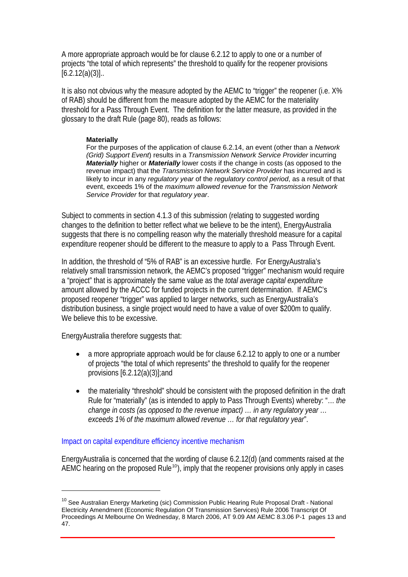A more appropriate approach would be for clause 6.2.12 to apply to one or a number of projects "the total of which represents" the threshold to qualify for the reopener provisions  $[6.2.12(a)(3)]...$ 

It is also not obvious why the measure adopted by the AEMC to "trigger" the reopener (i.e. X% of RAB) should be different from the measure adopted by the AEMC for the materiality threshold for a Pass Through Event. The definition for the latter measure, as provided in the glossary to the draft Rule (page 80), reads as follows:

#### **Materially**

For the purposes of the application of clause 6.2.14, an event (other than a *Network (Grid) Support Event*) results in a *Transmission Network Service Provider* incurring *Materially* higher or *Materially* lower costs if the change in costs (as opposed to the revenue impact) that the *Transmission Network Service Provider* has incurred and is likely to incur in any *regulatory year* of the *regulatory control period*, as a result of that event, exceeds 1% of the *maximum allowed revenue* for the *Transmission Network Service Provider* for that *regulatory year*.

Subject to comments in section 4.1.3 of this submission (relating to suggested wording changes to the definition to better reflect what we believe to be the intent), EnergyAustralia suggests that there is no compelling reason why the materially threshold measure for a capital expenditure reopener should be different to the measure to apply to a Pass Through Event.

In addition, the threshold of "5% of RAB" is an excessive hurdle. For EnergyAustralia's relatively small transmission network, the AEMC's proposed "trigger" mechanism would require a "project" that is approximately the same value as the *total average capital expenditure* amount allowed by the ACCC for funded projects in the current determination. If AEMC's proposed reopener "trigger" was applied to larger networks, such as EnergyAustralia's distribution business, a single project would need to have a value of over \$200m to qualify. We believe this to be excessive.

EnergyAustralia therefore suggests that:

 $\overline{a}$ 

- a more appropriate approach would be for clause 6.2.12 to apply to one or a number of projects "the total of which represents" the threshold to qualify for the reopener provisions [6.2.12(a)(3)];and
- the materiality "threshold" should be consistent with the proposed definition in the draft Rule for "materially" (as is intended to apply to Pass Through Events) whereby: "… *the change in costs (as opposed to the revenue impact) … in any regulatory year … exceeds 1% of the maximum allowed revenue … for that regulatory year*".

#### Impact on capital expenditure efficiency incentive mechanism

EnergyAustralia is concerned that the wording of clause 6.2.12(d) (and comments raised at the AEMC hearing on the proposed Rule<sup>[10](#page-28-0)</sup>), imply that the reopener provisions only apply in cases

<span id="page-28-0"></span><sup>&</sup>lt;sup>10</sup> See Australian Energy Marketing (sic) Commission Public Hearing Rule Proposal Draft - National Electricity Amendment (Economic Regulation Of Transmission Services) Rule 2006 Transcript Of Proceedings At Melbourne On Wednesday, 8 March 2006, AT 9.09 AM AEMC 8.3.06 P-1 pages 13 and 47.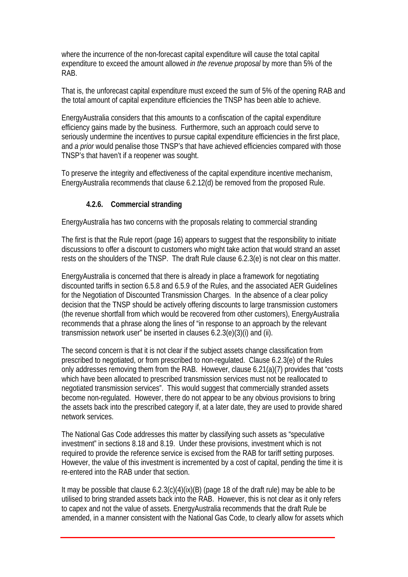<span id="page-29-0"></span>where the incurrence of the non-forecast capital expenditure will cause the total capital expenditure to exceed the amount allowed *in the revenue proposal* by more than 5% of the RAB.

That is, the unforecast capital expenditure must exceed the sum of 5% of the opening RAB and the total amount of capital expenditure efficiencies the TNSP has been able to achieve.

EnergyAustralia considers that this amounts to a confiscation of the capital expenditure efficiency gains made by the business. Furthermore, such an approach could serve to seriously undermine the incentives to pursue capital expenditure efficiencies in the first place, and *a prior* would penalise those TNSP's that have achieved efficiencies compared with those TNSP's that haven't if a reopener was sought.

To preserve the integrity and effectiveness of the capital expenditure incentive mechanism, EnergyAustralia recommends that clause 6.2.12(d) be removed from the proposed Rule.

#### **4.2.6. Commercial stranding**

EnergyAustralia has two concerns with the proposals relating to commercial stranding

The first is that the Rule report (page 16) appears to suggest that the responsibility to initiate discussions to offer a discount to customers who might take action that would strand an asset rests on the shoulders of the TNSP. The draft Rule clause 6.2.3(e) is not clear on this matter.

EnergyAustralia is concerned that there is already in place a framework for negotiating discounted tariffs in section 6.5.8 and 6.5.9 of the Rules, and the associated AER Guidelines for the Negotiation of Discounted Transmission Charges. In the absence of a clear policy decision that the TNSP should be actively offering discounts to large transmission customers (the revenue shortfall from which would be recovered from other customers), EnergyAustralia recommends that a phrase along the lines of "in response to an approach by the relevant transmission network user" be inserted in clauses 6.2.3(e)(3)(i) and (ii).

The second concern is that it is not clear if the subject assets change classification from prescribed to negotiated, or from prescribed to non-regulated. Clause 6.2.3(e) of the Rules only addresses removing them from the RAB. However, clause 6.21(a)(7) provides that "costs which have been allocated to prescribed transmission services must not be reallocated to negotiated transmission services". This would suggest that commercially stranded assets become non-regulated. However, there do not appear to be any obvious provisions to bring the assets back into the prescribed category if, at a later date, they are used to provide shared network services.

The National Gas Code addresses this matter by classifying such assets as "speculative investment" in sections 8.18 and 8.19. Under these provisions, investment which is not required to provide the reference service is excised from the RAB for tariff setting purposes. However, the value of this investment is incremented by a cost of capital, pending the time it is re-entered into the RAB under that section.

It may be possible that clause 6.2.3(c)(4)(ix)(B) (page 18 of the draft rule) may be able to be utilised to bring stranded assets back into the RAB. However, this is not clear as it only refers to capex and not the value of assets. EnergyAustralia recommends that the draft Rule be amended, in a manner consistent with the National Gas Code, to clearly allow for assets which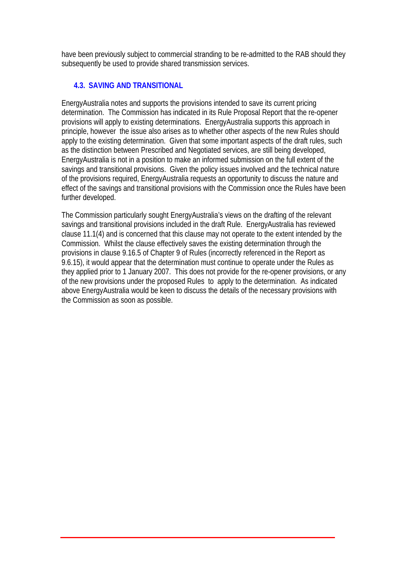<span id="page-30-0"></span>have been previously subject to commercial stranding to be re-admitted to the RAB should they subsequently be used to provide shared transmission services.

## **4.3. SAVING AND TRANSITIONAL**

EnergyAustralia notes and supports the provisions intended to save its current pricing determination. The Commission has indicated in its Rule Proposal Report that the re-opener provisions will apply to existing determinations. EnergyAustralia supports this approach in principle, however the issue also arises as to whether other aspects of the new Rules should apply to the existing determination. Given that some important aspects of the draft rules, such as the distinction between Prescribed and Negotiated services, are still being developed, EnergyAustralia is not in a position to make an informed submission on the full extent of the savings and transitional provisions. Given the policy issues involved and the technical nature of the provisions required, EnergyAustralia requests an opportunity to discuss the nature and effect of the savings and transitional provisions with the Commission once the Rules have been further developed.

The Commission particularly sought EnergyAustralia's views on the drafting of the relevant savings and transitional provisions included in the draft Rule. EnergyAustralia has reviewed clause 11.1(4) and is concerned that this clause may not operate to the extent intended by the Commission. Whilst the clause effectively saves the existing determination through the provisions in clause 9.16.5 of Chapter 9 of Rules (incorrectly referenced in the Report as 9.6.15), it would appear that the determination must continue to operate under the Rules as they applied prior to 1 January 2007. This does not provide for the re-opener provisions, or any of the new provisions under the proposed Rules to apply to the determination. As indicated above EnergyAustralia would be keen to discuss the details of the necessary provisions with the Commission as soon as possible.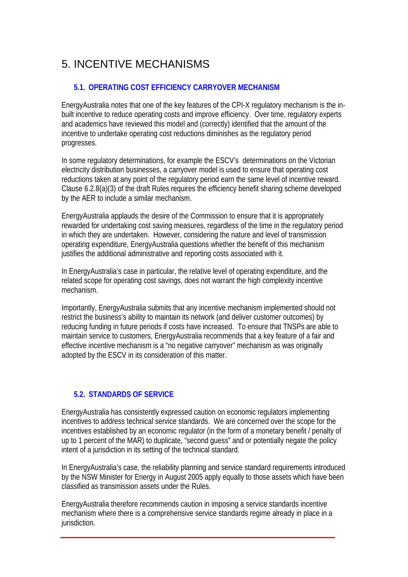# <span id="page-31-0"></span>5. INCENTIVE MECHANISMS

#### **5.1. OPERATING COST EFFICIENCY CARRYOVER MECHANISM**

EnergyAustralia notes that one of the key features of the CPI-X regulatory mechanism is the inbuilt incentive to reduce operating costs and improve efficiency. Over time, regulatory experts and academics have reviewed this model and (correctly) identified that the amount of the incentive to undertake operating cost reductions diminishes as the regulatory period progresses.

In some regulatory determinations, for example the ESCV's determinations on the Victorian electricity distribution businesses, a carryover model is used to ensure that operating cost reductions taken at any point of the regulatory period earn the same level of incentive reward. Clause 6.2.8(a)(3) of the draft Rules requires the efficiency benefit sharing scheme developed by the AER to include a similar mechanism.

EnergyAustralia applauds the desire of the Commission to ensure that it is appropriately rewarded for undertaking cost saving measures, regardless of the time in the regulatory period in which they are undertaken. However, considering the nature and level of transmission operating expenditure, EnergyAustralia questions whether the benefit of this mechanism justifies the additional administrative and reporting costs associated with it.

In EnergyAustralia's case in particular, the relative level of operating expenditure, and the related scope for operating cost savings, does not warrant the high complexity incentive mechanism.

Importantly, EnergyAustralia submits that any incentive mechanism implemented should not restrict the business's ability to maintain its network (and deliver customer outcomes) by reducing funding in future periods if costs have increased. To ensure that TNSPs are able to maintain service to customers, EnergyAustralia recommends that a key feature of a fair and effective incentive mechanism is a "no negative carryover" mechanism as was originally adopted by the ESCV in its consideration of this matter.

## **5.2. STANDARDS OF SERVICE**

EnergyAustralia has consistently expressed caution on economic regulators implementing incentives to address technical service standards. We are concerned over the scope for the incentives established by an economic regulator (in the form of a monetary benefit / penalty of up to 1 percent of the MAR) to duplicate, "second guess" and or potentially negate the policy intent of a jurisdiction in its setting of the technical standard.

In EnergyAustralia's case, the reliability planning and service standard requirements introduced by the NSW Minister for Energy in August 2005 apply equally to those assets which have been classified as transmission assets under the Rules.

EnergyAustralia therefore recommends caution in imposing a service standards incentive mechanism where there is a comprehensive service standards regime already in place in a jurisdiction.